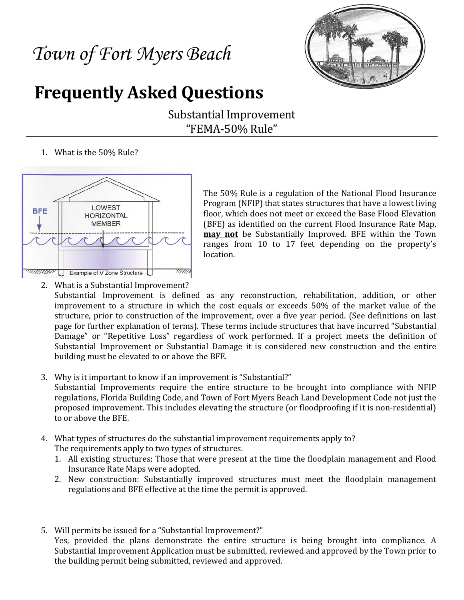# *Town of Fort Myers Beach*



# **Frequently Asked Questions**

Substantial Improvement "FEMA-50% Rule"

1. What is the 50% Rule?



The 50% Rule is a regulation of the National Flood Insurance Program (NFIP) that states structures that have a lowest living floor, which does not meet or exceed the Base Flood Elevation (BFE) as identified on the current Flood Insurance Rate Map, **may not** be Substantially Improved. BFE within the Town ranges from 10 to 17 feet depending on the property's location.

2. What is a Substantial Improvement?

Substantial Improvement is defined as any reconstruction, rehabilitation, addition, or other improvement to a structure in which the cost equals or exceeds 50% of the market value of the structure, prior to construction of the improvement, over a five year period. (See definitions on last page for further explanation of terms). These terms include structures that have incurred "Substantial Damage" or "Repetitive Loss" regardless of work performed. If a project meets the definition of Substantial Improvement or Substantial Damage it is considered new construction and the entire building must be elevated to or above the BFE.

- 3. Why is it important to know if an improvement is "Substantial?" Substantial Improvements require the entire structure to be brought into compliance with NFIP regulations, Florida Building Code, and Town of Fort Myers Beach Land Development Code not just the proposed improvement. This includes elevating the structure (or floodproofing if it is non-residential) to or above the BFE.
- 4. What types of structures do the substantial improvement requirements apply to? The requirements apply to two types of structures.
	- 1. All existing structures: Those that were present at the time the floodplain management and Flood Insurance Rate Maps were adopted.
	- 2. New construction: Substantially improved structures must meet the floodplain management regulations and BFE effective at the time the permit is approved.
- 5. Will permits be issued for a "Substantial Improvement?"

Yes, provided the plans demonstrate the entire structure is being brought into compliance. A Substantial Improvement Application must be submitted, reviewed and approved by the Town prior to the building permit being submitted, reviewed and approved.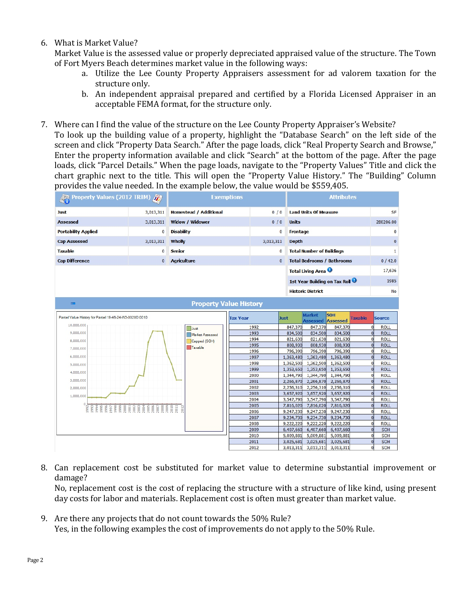## 6. What is Market Value?

Market Value is the assessed value or properly depreciated appraised value of the structure. The Town of Fort Myers Beach determines market value in the following ways:

- a. Utilize the Lee County Property Appraisers assessment for ad valorem taxation for the structure only.
- b. An independent appraisal prepared and certified by a Florida Licensed Appraiser in an acceptable FEMA format, for the structure only.
- 7. Where can I find the value of the structure on the Lee County Property Appraiser's Website?

To look up the building value of a property, highlight the "Database Search" on the left side of the screen and click "Property Data Search." After the page loads, click "Real Property Search and Browse," Enter the property information available and click "Search" at the bottom of the page. After the page loads, click "Parcel Details." When the page loads, navigate to the "Property Values" Title and click the chart graphic next to the title. This will open the "Property Value History." The "Building" Column provides the value needed. In the example below, the value would be \$559,405.

| Property Values (2012 TRIM)                            |           | <b>Exemptions</b>             |                               |              |                                  | <b>Attributes</b>                 |                        |  |                |                            |  |  |
|--------------------------------------------------------|-----------|-------------------------------|-------------------------------|--------------|----------------------------------|-----------------------------------|------------------------|--|----------------|----------------------------|--|--|
| <b>Just</b>                                            | 3,013,311 | <b>Homestead / Additional</b> |                               | 0/0          |                                  | <b>Land Units Of Measure</b>      |                        |  | SF             |                            |  |  |
| <b>Assessed</b>                                        | 3,013,311 | Widow / Widower               |                               | 0/0          | <b>Units</b>                     |                                   |                        |  | 280206.00      |                            |  |  |
| <b>Portability Applied</b>                             | $\bf{0}$  | <b>Disability</b>             |                               |              | $\bf{0}$                         | Frontage                          |                        |  | $\bf{0}$       |                            |  |  |
| <b>Cap Assessed</b>                                    | 3,013,311 | Wholly                        |                               | 3,013,311    |                                  | <b>Depth</b>                      |                        |  | $\bf{0}$       |                            |  |  |
| <b>Taxable</b>                                         | $\bf{0}$  | <b>Senior</b>                 |                               |              | $\bf{0}$                         | <b>Total Number of Buildings</b>  |                        |  | $\mathbf{1}$   |                            |  |  |
| <b>Cap Difference</b>                                  | $\theta$  | <b>Agriculture</b>            |                               |              | $\mathbf{0}$                     | <b>Total Bedrooms / Bathrooms</b> |                        |  | 0/42.0         |                            |  |  |
|                                                        |           |                               |                               |              |                                  | Total Living Area <sup>0</sup>    |                        |  |                | 17,636                     |  |  |
|                                                        |           |                               |                               |              |                                  |                                   |                        |  |                | 1985                       |  |  |
|                                                        |           |                               | 1st Year Building on Tax Roll |              |                                  |                                   |                        |  |                |                            |  |  |
|                                                        |           |                               |                               |              |                                  | <b>Historic District</b>          |                        |  |                | <b>No</b>                  |  |  |
| <b>Property Value History</b><br>$=$                   |           |                               |                               |              |                                  |                                   |                        |  |                |                            |  |  |
| Parcel Value History for Parcel 19-46-24-W3-0020D.0010 |           | <b>Tax Year</b>               |                               | <b>Just</b>  | <b>Market</b><br><b>Assessed</b> | <b>SOH</b><br><b>Assessed</b>     | <b>Taxable</b>         |  | <b>Source</b>  |                            |  |  |
| 10,000,000                                             |           | Just                          |                               | 1992         | 847,370                          | 847,370                           | 847,370                |  |                | <b>ROLL</b>                |  |  |
| 9,000,000                                              |           | Market Assessed               |                               | 1993         | 834,500                          | 834,500                           | 834,500                |  | $\overline{0}$ | <b>ROLL</b>                |  |  |
| 8,000,000                                              |           | Capped (SOH)                  |                               | 1994         | 821,630                          | 821,630                           | 821,630                |  | $\Omega$       | <b>ROLL</b>                |  |  |
| 7,000,000                                              |           | Taxable                       |                               | 1995         | 808,930                          | 808,930                           | 808,930                |  | $\Omega$       | <b>ROLL</b>                |  |  |
|                                                        |           |                               |                               | 1996         | 796,390                          | 796,390                           | 796,390                |  |                | <b>ROLL</b>                |  |  |
| 6,000,000                                              |           |                               |                               | 1997<br>1998 | 1,363,480<br>1,362,500           | 1,363,480<br>1,362,500            | 1,363,480<br>1,362,500 |  | $\Omega$       | <b>ROLL</b><br><b>ROLL</b> |  |  |
| 5,000,000                                              |           |                               |                               | 1999         | 1,353,650                        | 1,353,650                         | 1,353,650              |  |                | <b>ROLL</b>                |  |  |
| 4,000,000                                              |           |                               |                               | 2000         | 1,344,790                        | 1,344,790                         | 1,344,790              |  |                | <b>ROLL</b>                |  |  |
| 3,000,000                                              |           |                               |                               | 2001         | 2,266,870                        | 2,266,870                         | 2,266,870              |  | $\Omega$       | <b>ROLL</b>                |  |  |
| 2,000,000                                              |           |                               |                               | 2002         | 2,256,310                        | 2,256,310                         | 2,256,310              |  | O              | <b>ROLL</b>                |  |  |
| 1,000,000                                              |           |                               |                               | 2003         | 3,657,920                        | 3,657,920                         | 3,657,920              |  |                | <b>ROLL</b>                |  |  |
|                                                        |           |                               |                               | 2004         | 3,547,790                        | 3,547,790                         | 3,547,790              |  | $\Omega$       | <b>ROLL</b>                |  |  |
|                                                        |           | 2012                          |                               | 2005         | 7,816,020                        | 7,816,020                         | 7,816,020              |  | $\overline{0}$ | <b>ROLL</b>                |  |  |
|                                                        |           |                               |                               | 2006         | 9,247,230                        | 9,247,230                         | 9,247,230              |  | O              | <b>ROLL</b>                |  |  |
|                                                        |           |                               |                               | 2007<br>2008 | 9,234,730<br>9,222,220           | 9,234,730<br>9,222,220            | 9,234,730<br>9,222,220 |  |                | <b>ROLL</b><br><b>ROLL</b> |  |  |
|                                                        |           |                               |                               | 2009         | 6,407,660                        | 6,407,660                         | 6,407,660              |  |                | SOH                        |  |  |
|                                                        |           |                               |                               | 2010         | 5,009,881                        | 5,009,881                         | 5,009,881              |  | O              | <b>SOH</b>                 |  |  |
|                                                        |           |                               |                               | 2011         | 3,025,681                        | 3,025,681                         | 3,025,681              |  |                | SOH                        |  |  |
|                                                        |           |                               |                               | 2012         | 3,013,311                        | 3,013,311                         | 3,013,311              |  | $\Omega$       | <b>SOH</b>                 |  |  |

8. Can replacement cost be substituted for market value to determine substantial improvement or damage?

No, replacement cost is the cost of replacing the structure with a structure of like kind, using present day costs for labor and materials. Replacement cost is often must greater than market value.

9. Are there any projects that do not count towards the 50% Rule? Yes, in the following examples the cost of improvements do not apply to the 50% Rule.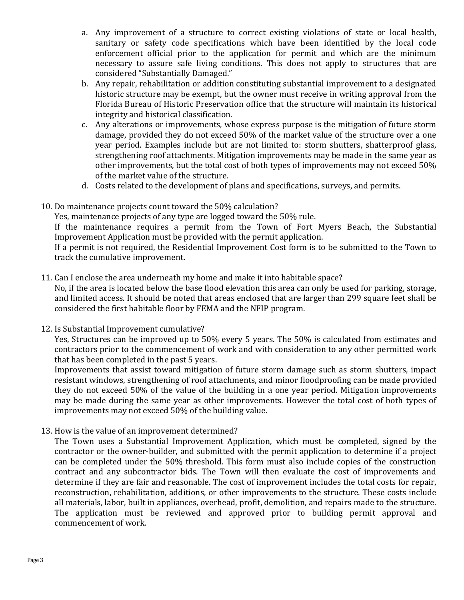- a. Any improvement of a structure to correct existing violations of state or local health, sanitary or safety code specifications which have been identified by the local code enforcement official prior to the application for permit and which are the minimum necessary to assure safe living conditions. This does not apply to structures that are considered "Substantially Damaged."
- b. Any repair, rehabilitation or addition constituting substantial improvement to a designated historic structure may be exempt, but the owner must receive in writing approval from the Florida Bureau of Historic Preservation office that the structure will maintain its historical integrity and historical classification.
- c. Any alterations or improvements, whose express purpose is the mitigation of future storm damage, provided they do not exceed 50% of the market value of the structure over a one year period. Examples include but are not limited to: storm shutters, shatterproof glass, strengthening roof attachments. Mitigation improvements may be made in the same year as other improvements, but the total cost of both types of improvements may not exceed 50% of the market value of the structure.
- d. Costs related to the development of plans and specifications, surveys, and permits.
- 10. Do maintenance projects count toward the 50% calculation?

Yes, maintenance projects of any type are logged toward the 50% rule.

If the maintenance requires a permit from the Town of Fort Myers Beach, the Substantial Improvement Application must be provided with the permit application.

If a permit is not required, the Residential Improvement Cost form is to be submitted to the Town to track the cumulative improvement.

11. Can I enclose the area underneath my home and make it into habitable space?

No, if the area is located below the base flood elevation this area can only be used for parking, storage, and limited access. It should be noted that areas enclosed that are larger than 299 square feet shall be considered the first habitable floor by FEMA and the NFIP program.

12. Is Substantial Improvement cumulative?

Yes, Structures can be improved up to 50% every 5 years. The 50% is calculated from estimates and contractors prior to the commencement of work and with consideration to any other permitted work that has been completed in the past 5 years.

Improvements that assist toward mitigation of future storm damage such as storm shutters, impact resistant windows, strengthening of roof attachments, and minor floodproofing can be made provided they do not exceed 50% of the value of the building in a one year period. Mitigation improvements may be made during the same year as other improvements. However the total cost of both types of improvements may not exceed 50% of the building value.

13. How is the value of an improvement determined?

The Town uses a Substantial Improvement Application, which must be completed, signed by the contractor or the owner-builder, and submitted with the permit application to determine if a project can be completed under the 50% threshold. This form must also include copies of the construction contract and any subcontractor bids. The Town will then evaluate the cost of improvements and determine if they are fair and reasonable. The cost of improvement includes the total costs for repair, reconstruction, rehabilitation, additions, or other improvements to the structure. These costs include all materials, labor, built in appliances, overhead, profit, demolition, and repairs made to the structure. The application must be reviewed and approved prior to building permit approval and commencement of work.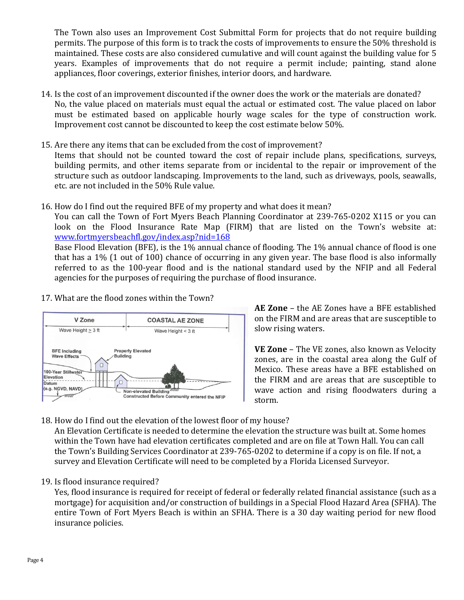The Town also uses an Improvement Cost Submittal Form for projects that do not require building permits. The purpose of this form is to track the costs of improvements to ensure the 50% threshold is maintained. These costs are also considered cumulative and will count against the building value for 5 years. Examples of improvements that do not require a permit include; painting, stand alone appliances, floor coverings, exterior finishes, interior doors, and hardware.

- 14. Is the cost of an improvement discounted if the owner does the work or the materials are donated? No, the value placed on materials must equal the actual or estimated cost. The value placed on labor must be estimated based on applicable hourly wage scales for the type of construction work. Improvement cost cannot be discounted to keep the cost estimate below 50%.
- 15. Are there any items that can be excluded from the cost of improvement?

Items that should not be counted toward the cost of repair include plans, specifications, surveys, building permits, and other items separate from or incidental to the repair or improvement of the structure such as outdoor landscaping. Improvements to the land, such as driveways, pools, seawalls, etc. are not included in the 50% Rule value.

16. How do I find out the required BFE of my property and what does it mean?

You can call the Town of Fort Myers Beach Planning Coordinator at 239-765-0202 X115 or you can look on the Flood Insurance Rate Map (FIRM) that are listed on the Town's website at: [www.fortmyersbeachfl.gov/index.asp?nid=168](http://www.fortmyersbeachfl.gov/index.asp?nid=168)

Base Flood Elevation (BFE), is the 1% annual chance of flooding. The 1% annual chance of flood is one that has a 1% (1 out of 100) chance of occurring in any given year. The base flood is also informally referred to as the 100-year flood and is the national standard used by the NFIP and all Federal agencies for the purposes of requiring the purchase of flood insurance.

17. What are the flood zones within the Town?



**AE Zone** – the AE Zones have a BFE established on the FIRM and are areas that are susceptible to slow rising waters.

**VE Zone** – The VE zones, also known as Velocity zones, are in the coastal area along the Gulf of Mexico. These areas have a BFE established on the FIRM and are areas that are susceptible to wave action and rising floodwaters during a storm.

18. How do I find out the elevation of the lowest floor of my house?

An Elevation Certificate is needed to determine the elevation the structure was built at. Some homes within the Town have had elevation certificates completed and are on file at Town Hall. You can call the Town's Building Services Coordinator at 239-765-0202 to determine if a copy is on file. If not, a survey and Elevation Certificate will need to be completed by a Florida Licensed Surveyor.

19. Is flood insurance required?

Yes, flood insurance is required for receipt of federal or federally related financial assistance (such as a mortgage) for acquisition and/or construction of buildings in a Special Flood Hazard Area (SFHA). The entire Town of Fort Myers Beach is within an SFHA. There is a 30 day waiting period for new flood insurance policies.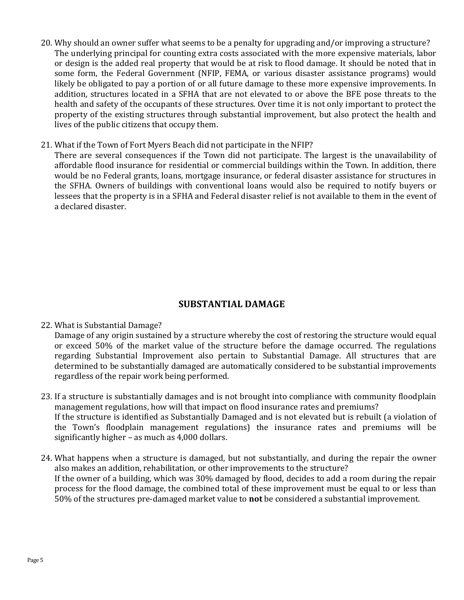- 20. Why should an owner suffer what seems to be a penalty for upgrading and/or improving a structure? The underlying principal for counting extra costs associated with the more expensive materials, labor or design is the added real property that would be at risk to flood damage. It should be noted that in some form, the Federal Government (NFIP, FEMA, or various disaster assistance programs) would likely be obligated to pay a portion of or all future damage to these more expensive improvements. In addition, structures located in a SFHA that are not elevated to or above the BFE pose threats to the health and safety of the occupants of these structures. Over time it is not only important to protect the property of the existing structures through substantial improvement, but also protect the health and lives of the public citizens that occupy them.
- 21. What if the Town of Fort Myers Beach did not participate in the NFIP?

There are several consequences if the Town did not participate. The largest is the unavailability of affordable flood insurance for residential or commercial buildings within the Town. In addition, there would be no Federal grants, loans, mortgage insurance, or federal disaster assistance for structures in the SFHA. Owners of buildings with conventional loans would also be required to notify buyers or lessees that the property is in a SFHA and Federal disaster relief is not available to them in the event of a declared disaster.

# **SUBSTANTIAL DAMAGE**

#### 22. What is Substantial Damage?

Damage of any origin sustained by a structure whereby the cost of restoring the structure would equal or exceed 50% of the market value of the structure before the damage occurred. The regulations regarding Substantial Improvement also pertain to Substantial Damage. All structures that are determined to be substantially damaged are automatically considered to be substantial improvements regardless of the repair work being performed.

- 23. If a structure is substantially damages and is not brought into compliance with community floodplain management regulations, how will that impact on flood insurance rates and premiums? If the structure is identified as Substantially Damaged and is not elevated but is rebuilt (a violation of the Town's floodplain management regulations) the insurance rates and premiums will be significantly higher – as much as 4,000 dollars.
- 24. What happens when a structure is damaged, but not substantially, and during the repair the owner also makes an addition, rehabilitation, or other improvements to the structure? If the owner of a building, which was 30% damaged by flood, decides to add a room during the repair process for the flood damage, the combined total of these improvement must be equal to or less than 50% of the structures pre-damaged market value to **not** be considered a substantial improvement.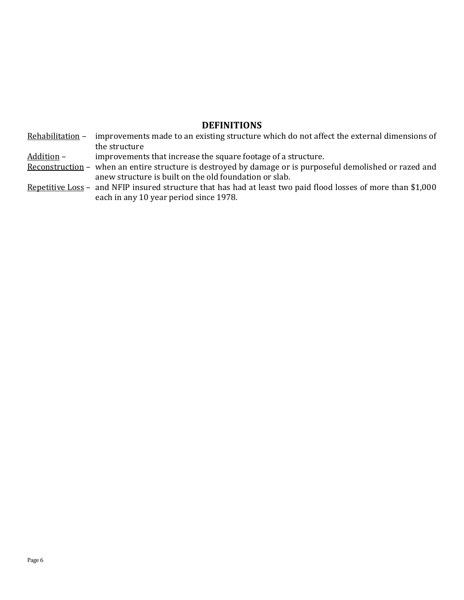# **DEFINITIONS**

Rehabilitation - improvements made to an existing structure which do not affect the external dimensions of the structure

Addition – improvements that increase the square footage of a structure.

- Reconstruction when an entire structure is destroyed by damage or is purposeful demolished or razed and anew structure is built on the old foundation or slab.
- Repetitive Loss and NFIP insured structure that has had at least two paid flood losses of more than \$1,000 each in any 10 year period since 1978.